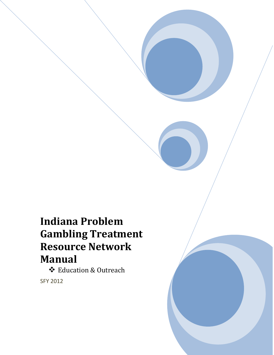# **Indiana Problem Gambling Treatment Resource Network Manual**

 Education & Outreach SFY 2012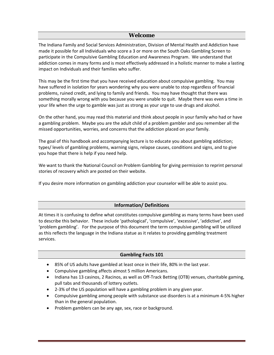# **Welcome**

The Indiana Family and Social Services Administration, Division of Mental Health and Addiction have made it possible for all Individuals who score a 3 or more on the South Oaks Gambling Screen to participate in the Compulsive Gambling Education and Awareness Program. We understand that addiction comes in many forms and is most effectively addressed in a holistic manner to make a lasting impact on Individuals and their families who suffer.

This may be the first time that you have received education about compulsive gambling. You may have suffered in isolation for years wondering why you were unable to stop regardless of financial problems, ruined credit, and lying to family and friends. You may have thought that there was something morally wrong with you because you were unable to quit. Maybe there was even a time in your life when the urge to gamble was just as strong as your urge to use drugs and alcohol.

On the other hand, you may read this material and think about people in your family who had or have a gambling problem. Maybe you are the adult child of a problem gambler and you remember all the missed opportunities, worries, and concerns that the addiction placed on your family.

The goal of this handbook and accompanying lecture is to educate you about gambling addiction; types/ levels of gambling problems, warning signs, relapse causes, conditions and signs, and to give you hope that there is help if you need help.

We want to thank the National Council on Problem Gambling for giving permission to reprint personal stories of recovery which are posted on their website.

If you desire more information on gambling addiction your counselor will be able to assist you.

# **Information/ Definitions**

At times it is confusing to define what constitutes compulsive gambling as many terms have been used to describe this behavior. These include 'pathological', 'compulsive', 'excessive', 'addictive', and 'problem gambling'. For the purpose of this document the term compulsive gambling will be utilized as this reflects the language in the Indiana statue as it relates to providing gambling treatment services.

# **Gambling Facts 101**

- 85% of US adults have gambled at least once in their life, 80% in the last year.
- Compulsive gambling affects almost 5 million Americans.
- Indiana has 13 casinos, 2 Racinos, as well as Off-Track Betting (OTB) venues, charitable gaming, pull tabs and thousands of lottery outlets.
- 2-3% of the US population will have a gambling problem in any given year.
- Compulsive gambling among people with substance use disorders is at a minimum 4-5% higher than in the general population.
- Problem gamblers can be any age, sex, race or background.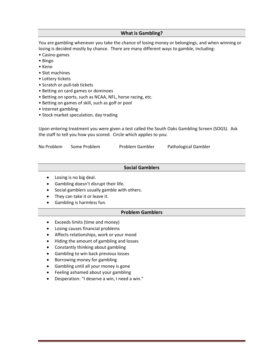## **What is Gambling?**

You are gambling whenever you take the chance of losing money or belongings, and when winning or losing is decided mostly by chance. There are many different ways to gamble, including:

- Casino games
- Bingo
- Keno
- Slot machines
- Lottery tickets
- Scratch or pull-tab tickets
- Betting on card games or dominoes
- Betting on sports, such as NCAA, NFL, horse racing, etc.
- Betting on games of skill, such as golf or pool
- Internet gambling
- Stock market speculation, day trading

Upon entering treatment you were given a test called the South Oaks Gambling Screen (SOGS). Ask the staff to tell you how you scored. Circle which applies to you:

| No Problem | Some Problem | Problem Gambler | Pathological Gambler |
|------------|--------------|-----------------|----------------------|
|            |              |                 |                      |

## **Social Gamblers**

- Losing is no big deal.
- Gambling doesn't disrupt their life.
- Social gamblers usually gamble with others.
- They can take it or leave it.
- Gambling is harmless fun.

## **Problem Gamblers**

- Exceeds limits (time and money)
- Losing causes financial problems
- Affects relationships, work or your mood
- Hiding the amount of gambling and losses
- Constantly thinking about gambling
- Gambling to win back previous losses
- Borrowing money for gambling
- Gambling until all your money is gone
- Feeling ashamed about your gambling
- Desperation: "I deserve a win, I need a win."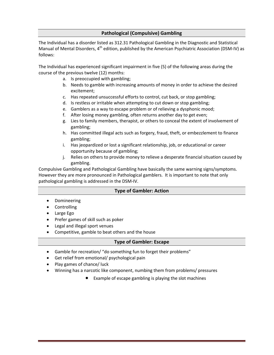# **Pathological (Compulsive) Gambling**

The Individual has a disorder listed as 312.31 Pathological Gambling in the Diagnostic and Statistical Manual of Mental Disorders, 4<sup>th</sup> edition, published by the American Psychiatric Association (DSM-IV) as follows:

The Individual has experienced significant impairment in five (5) of the following areas during the course of the previous twelve (12) months:

- a. Is preoccupied with gambling;
- b. Needs to gamble with increasing amounts of money in order to achieve the desired excitement;
- c. Has repeated unsuccessful efforts to control, cut back, or stop gambling;
- d. Is restless or irritable when attempting to cut down or stop gambling;
- e. Gamblers as a way to escape problem or of relieving a dysphonic mood;
- f. After losing money gambling, often returns another day to get even;
- g. Lies to family members, therapist, or others to conceal the extent of involvement of gambling;
- h. Has committed illegal acts such as forgery, fraud, theft, or embezzlement to finance gambling;
- i. Has jeopardized or lost a significant relationship, job, or educational or career opportunity because of gambling;
- j. Relies on others to provide money to relieve a desperate financial situation caused by gambling.

Compulsive Gambling and Pathological Gambling have basically the same warning signs/symptoms. However they are more pronounced in Pathological gamblers. It is important to note that only pathological gambling is addressed in the DSM-IV.

# **Type of Gambler: Action**

- Domineering
- **Controlling**
- Large Ego
- Prefer games of skill such as poker
- Legal and illegal sport venues
- Competitive, gamble to beat others and the house

## **Type of Gambler: Escape**

- Gamble for recreation/ "do something fun to forget their problems"
- Get relief from emotional/ psychological pain
- Play games of chance/ luck
- Winning has a narcotic like component, numbing them from problems/ pressures
	- Example of escape gambling is playing the slot machines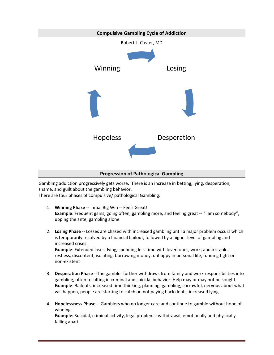

# **Progression of Pathological Gambling**

Gambling addiction progressively gets worse. There is an increase in betting, lying, desperation, shame, and guilt about the gambling behavior. There are four phases of compulsive/ pathological Gambling:

- 1. **Winning Phase** -- Initial Big Win -- Feels Great! **Example**: Frequent gains, going often, gambling more, and feeling great -- "I am somebody", upping the ante, gambling alone.
- 2. **Losing Phase** -- Losses are chased with increased gambling until a major problem occurs which is temporarily resolved by a financial bailout, followed by a higher level of gambling and increased crises. **Example**: Extended loses, lying, spending less time with loved ones, work, and irritable,

restless, discontent, isolating, borrowing money, unhappy in personal life, funding tight or non-existent

- 3. **Desperation Phase** --The gambler further withdraws from family and work responsibilities into gambling, often resulting in criminal and suicidal behavior. Help may or may not be sought. **Example**: Bailouts, increased time thinking, planning, gambling, sorrowful, nervous about what will happen, people are starting to catch on not paying back debts, increased lying
- 4. **Hopelessness Phase** -- Gamblers who no longer care and continue to gamble without hope of winning.

**Example:** Suicidal, criminal activity, legal problems, withdrawal, emotionally and physically falling apart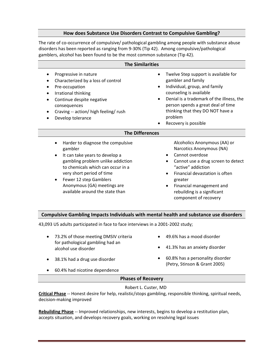## **How does Substance Use Disorders Contrast to Compulsive Gambling?**

The rate of co-occurrence of compulsive/ pathological gambling among people with substance abuse disorders has been reported as ranging from 9-30% (Tip 42). Among compulsive/pathological gamblers, alcohol has been found to be the most common substance (Tip 42).

| <b>The Similarities</b>                                                                                                                                                                                                                                                                        |                                                                                                                                                                                                                                                                                                                         |  |
|------------------------------------------------------------------------------------------------------------------------------------------------------------------------------------------------------------------------------------------------------------------------------------------------|-------------------------------------------------------------------------------------------------------------------------------------------------------------------------------------------------------------------------------------------------------------------------------------------------------------------------|--|
| Progressive in nature<br>٠<br>Characterized by a loss of control<br>٠<br>Pre-occupation<br>$\bullet$<br>Irrational thinking<br>$\bullet$<br>Continue despite negative<br>$\bullet$<br>consequences<br>Craving -- action/ high feeling/ rush<br>٠<br>Develop tolerance                          | Twelve Step support is available for<br>$\bullet$<br>gambler and family<br>Individual, group, and family<br>$\bullet$<br>counseling is available<br>Denial is a trademark of the illness, the<br>$\bullet$<br>person spends a great deal of time<br>thinking that they DO NOT have a<br>problem<br>Recovery is possible |  |
| <b>The Differences</b>                                                                                                                                                                                                                                                                         |                                                                                                                                                                                                                                                                                                                         |  |
| Harder to diagnose the compulsive<br>gambler<br>It can take years to develop a<br>gambling problem unlike addiction<br>to chemicals which can occur in a<br>very short period of time<br>Fewer 12 step Gamblers<br>$\bullet$<br>Anonymous (GA) meetings are<br>available around the state than | Alcoholics Anonymous (AA) or<br>Narcotics Anonymous (NA)<br>Cannot overdose<br>Cannot use a drug screen to detect<br>"active" addiction<br>Financial devastation is often<br>$\bullet$<br>greater<br>Financial management and<br>٠<br>rebuilding is a significant<br>component of recovery                              |  |
| Compulsive Gambling Impacts Individuals with mental health and substance use disorders                                                                                                                                                                                                         |                                                                                                                                                                                                                                                                                                                         |  |

43,093 US adults participated in face to face interviews in a 2001-2002 study;

- 73.2% of those meeting DMSIV criteria for pathological gambling had an alcohol use disorder • 49.6% has a mood disorder • 41.3% has an anxiety disorder
- 38.1% had a drug use disorder
- 60.8% has a personality disorder (Petry, Stinson & Grant 2005)
- 60.4% had nicotine dependence
	- **Phases of Recovery**

## Robert L. Custer, MD

**Critical Phase** -- Honest desire for help, realistic/stops gambling, responsible thinking, spiritual needs, decision-making improved

**Rebuilding Phase** -- Improved relationships, new interests, begins to develop a restitution plan, accepts situation, and develops recovery goals, working on resolving legal issues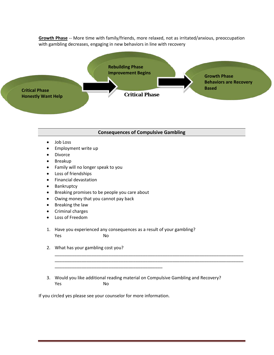**Growth Phase** -- More time with family/friends, more relaxed, not as irritated/anxious, preoccupation with gambling decreases, engaging in new behaviors in line with recovery



#### **Consequences of Compulsive Gambling**

- Job Loss
- Employment write up
- Divorce
- Breakup
- Family will no longer speak to you
- Loss of friendships
- Financial devastation
- Bankruptcy
- Breaking promises to be people you care about
- Owing money that you cannot pay back
- Breaking the law
- Criminal charges
- Loss of Freedom
- 1. Have you experienced any consequences as a result of your gambling? Yes No
- 2. What has your gambling cost you?

3. Would you like additional reading material on Compulsive Gambling and Recovery? Yes No

\_\_\_\_\_\_\_\_\_\_\_\_\_\_\_\_\_\_\_\_\_\_\_\_\_\_\_\_\_\_\_\_\_\_\_\_\_\_\_\_\_\_\_\_\_\_\_\_\_\_\_\_\_\_\_\_\_\_\_\_\_\_\_\_\_\_\_\_\_\_\_\_\_\_\_\_\_ \_\_\_\_\_\_\_\_\_\_\_\_\_\_\_\_\_\_\_\_\_\_\_\_\_\_\_\_\_\_\_\_\_\_\_\_\_\_\_\_\_\_\_\_\_\_\_\_\_\_\_\_\_\_\_\_\_\_\_\_\_\_\_\_\_\_\_\_\_\_\_\_\_\_\_\_\_

If you circled yes please see your counselor for more information.

\_\_\_\_\_\_\_\_\_\_\_\_\_\_\_\_\_\_\_\_\_\_\_\_\_\_\_\_\_\_\_\_\_\_\_\_\_\_\_\_\_\_\_\_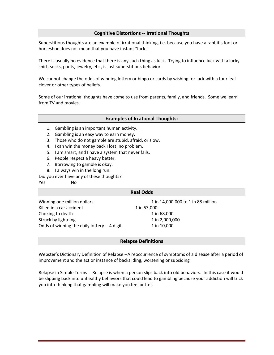# **Cognitive Distortions -- Irrational Thoughts**

Superstitious thoughts are an example of irrational thinking, i.e. because you have a rabbit's foot or horseshoe does not mean that you have instant "luck."

There is usually no evidence that there is any such thing as luck. Trying to influence luck with a lucky shirt, socks, pants, jewelry, etc., is just superstitious behavior.

We cannot change the odds of winning lottery or bingo or cards by wishing for luck with a four leaf clover or other types of beliefs.

Some of our irrational thoughts have come to use from parents, family, and friends. Some we learn from TV and movies.

#### **Examples of Irrational Thoughts:**

- 1. Gambling is an important human activity.
- 2. Gambling is an easy way to earn money.
- 3. Those who do not gamble are stupid, afraid, or slow.
- 4. I can win the money back I lost, no problem.
- 5. I am smart, and I have a system that never fails.
- 6. People respect a heavy better.
- 7. Borrowing to gamble is okay.
- 8. I always win in the long run.
- Did you ever have any of these thoughts?

#### Yes No

| <b>Real Odds</b>                             |                                    |  |
|----------------------------------------------|------------------------------------|--|
| Winning one million dollars                  | 1 in 14,000,000 to 1 in 88 million |  |
| Killed in a car accident                     | 1 in 53,000                        |  |
| Choking to death                             | 1 in 68,000                        |  |
| Struck by lightning                          | 1 in 2,000,000                     |  |
| Odds of winning the daily lottery -- 4 digit | 1 in 10,000                        |  |

#### **Relapse Definitions**

Webster's Dictionary Definition of Relapse --A reoccurrence of symptoms of a disease after a period of improvement and the act or instance of backsliding, worsening or subsiding

Relapse in Simple Terms -- Relapse is when a person slips back into old behaviors. In this case it would be slipping back into unhealthy behaviors that could lead to gambling because your addiction will trick you into thinking that gambling will make you feel better.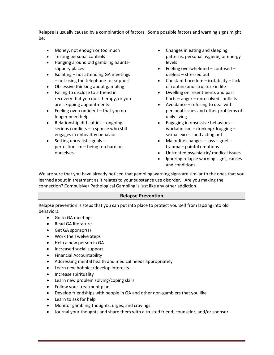Relapse is usually caused by a combination of factors. Some possible factors and warning signs might be:

- Money, not enough or too much
- Testing personal controls
- Hanging around old gambling hauntsslippery places
- Isolating not attending GA meetings – not using the telephone for support
- Obsessive thinking about gambling
- Failing to disclose to a friend in recovery that you quit therapy, or you are skipping appointments
- Feeling overconfident that you no longer need help
- Relationship difficulties ongoing serious conflicts – a spouse who still engages in unhealthy behavior
- Setting unrealistic goals perfectionism – being too hard on ourselves
- Changes in eating and sleeping patterns, personal hygiene, or energy levels
- Feeling overwhelmed confused useless – stressed out
- Constant boredom irritability lack of routine and structure in life
- Dwelling on resentments and past hurts – anger – unresolved conflicts
- Avoidance refusing to deal with personal issues and other problems of daily living
- Engaging in obsessive behaviors workaholism – drinking/drugging – sexual excess and acting out
- Major life changes loss grief trauma – painful emotions
- Untreated psychiatric/ medical issues
- Ignoring relapse warning signs, causes and conditions

We are sure that you have already noticed that gambling warning signs are similar to the ones that you learned about in treatment as it relates to your substance use disorder. Are you making the connection? Compulsive/ Pathological Gambling is just like any other addiction.

# **Relapse Prevention**

Relapse prevention is steps that you can put into place to protect yourself from lapsing into old behaviors.

- Go to GA meetings
- Read GA literature
- Get GA sponsor(s)
- Work the Twelve Steps
- Help a new person in GA
- Increased social support
- Financial Accountability
- Addressing mental health and medical needs appropriately
- Learn new hobbies/develop interests
- Increase spirituality
- Learn new problem solving/coping skills
- Follow your treatment plan
- Develop friendships with people in GA and other non-gamblers that you like
- Learn to ask for help
- Monitor gambling thoughts, urges, and cravings
- Journal your thoughts and share them with a trusted friend, counselor, and/or sponsor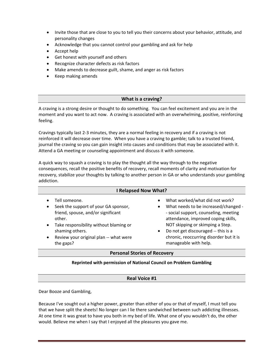- Invite those that are close to you to tell you their concerns about your behavior, attitude, and personality changes
- Acknowledge that you cannot control your gambling and ask for help
- Accept help
- Get honest with yourself and others
- Recognize character defects as risk factors
- Make amends to decrease guilt, shame, and anger as risk factors
- Keep making amends

# **What is a craving?**

A craving is a strong desire or thought to do something. You can feel excitement and you are in the moment and you want to act now. A craving is associated with an overwhelming, positive, reinforcing feeling.

Cravings typically last 2-3 minutes, they are a normal feeling in recovery and if a craving is not reinforced it will decrease over time. When you have a craving to gamble; talk to a trusted friend, journal the craving so you can gain insight into causes and conditions that may be associated with it. Attend a GA meeting or counseling appointment and discuss it with someone.

A quick way to squash a craving is to play the thought all the way through to the negative consequences, recall the positive benefits of recovery, recall moments of clarity and motivation for recovery, stabilize your thoughts by talking to another person in GA or who understands your gambling addiction.

| <b>I Relapsed Now What?</b>                                                                                                                                                                                                                                                   |                                                                                                                                                                                                                                                                                                       |  |  |
|-------------------------------------------------------------------------------------------------------------------------------------------------------------------------------------------------------------------------------------------------------------------------------|-------------------------------------------------------------------------------------------------------------------------------------------------------------------------------------------------------------------------------------------------------------------------------------------------------|--|--|
| Tell someone.<br>$\bullet$<br>Seek the support of your GA sponsor,<br>$\bullet$<br>friend, spouse, and/or significant<br>other.<br>Take responsibility without blaming or<br>$\bullet$<br>shaming others.<br>Review your original plan -- what were<br>$\bullet$<br>the gaps? | What worked/what did not work?<br>What needs to be increased/changed -<br>- social support, counseling, meeting<br>attendance, improved coping skills,<br>NOT skipping or skimping a Step.<br>Do not get discouraged -- this is a<br>chronic, reoccurring disorder but it is<br>manageable with help. |  |  |
| Devenuel Chaving of Deservance                                                                                                                                                                                                                                                |                                                                                                                                                                                                                                                                                                       |  |  |

## **Personal Stories of Recovery**

## **Reprinted with permission of National Council on Problem Gambling**

| <b>Real Voice #1</b> |  |
|----------------------|--|
|                      |  |

Dear Booze and Gambling,

Because I've sought out a higher power, greater than either of you or that of myself, I must tell you that we have split the sheets! No longer can I lie there sandwiched between such addicting illnesses. At one time it was great to have you both in my bed of life. What one of you wouldn't do, the other would. Believe me when I say that I enjoyed all the pleasures you gave me.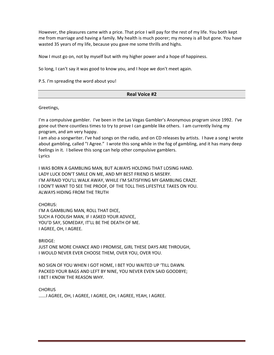However, the pleasures came with a price. That price I will pay for the rest of my life. You both kept me from marriage and having a family. My health is much poorer; my money is all but gone. You have wasted 35 years of my life, because you gave me some thrills and highs.

Now I must go on, not by myself but with my higher power and a hope of happiness.

So long, I can't say it was good to know you, and I hope we don't meet again.

P.S. I'm spreading the word about you!

#### **Real Voice #2**

Greetings,

I'm a compulsive gambler. I've been in the Las Vegas Gambler's Anonymous program since 1992. I've gone out there countless times to try to prove I can gamble like others. I am currently living my program, and am very happy.

I am also a songwriter. I've had songs on the radio, and on CD releases by artists. I have a song I wrote about gambling, called "I Agree." I wrote this song while in the fog of gambling, and it has many deep feelings in it. I believe this song can help other compulsive gamblers. Lyrics

I WAS BORN A GAMBLING MAN, BUT ALWAYS HOLDING THAT LOSING HAND. LADY LUCK DON'T SMILE ON ME, AND MY BEST FRIEND IS MISERY. I'M AFRAID YOU'LL WALK AWAY, WHILE I'M SATISFYING MY GAMBLING CRAZE. I DON'T WANT TO SEE THE PROOF, OF THE TOLL THIS LIFESTYLE TAKES ON YOU. ALWAYS HIDING FROM THE TRUTH

## CHORUS:

I'M A GAMBLING MAN, ROLL THAT DICE, SUCH A FOOLISH MAN, IF I ASKED YOUR ADVICE, YOU'D SAY, SOMEDAY, IT'LL BE THE DEATH OF ME. I AGREE, OH, I AGREE.

BRIDGE:

JUST ONE MORE CHANCE AND I PROMISE, GIRL THESE DAYS ARE THROUGH, I WOULD NEVER EVER CHOOSE THEM, OVER YOU, OVER YOU.

NO SIGN OF YOU WHEN I GOT HOME, I BET YOU WAITED UP 'TILL DAWN. PACKED YOUR BAGS AND LEFT BY NINE, YOU NEVER EVEN SAID GOODBYE; I BET I KNOW THE REASON WHY.

**CHORUS** 

......I AGREE, OH, I AGREE, I AGREE, OH, I AGREE, YEAH, I AGREE.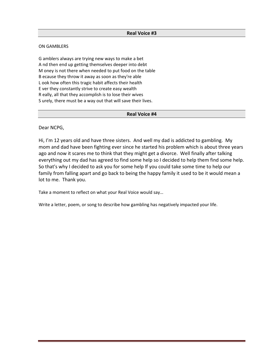#### ON GAMBLERS

G amblers always are trying new ways to make a bet A nd then end up getting themselves deeper into debt M oney is not there when needed to put food on the table B ecause they throw it away as soon as they're able L ook how often this tragic habit affects their health E ver they constantly strive to create easy wealth R eally, all that they accomplish is to lose their wives S urely, there must be a way out that will save their lives.

#### **Real Voice #4**

Dear NCPG,

Hi, I'm 12 years old and have three sisters. And well my dad is addicted to gambling. My mom and dad have been fighting ever since he started his problem which is about three years ago and now it scares me to think that they might get a divorce. Well finally after talking everything out my dad has agreed to find some help so I decided to help them find some help. So that's why I decided to ask you for some help If you could take some time to help our family from falling apart and go back to being the happy family it used to be it would mean a lot to me. Thank you.

Take a moment to reflect on what your Real Voice would say…

Write a letter, poem, or song to describe how gambling has negatively impacted your life.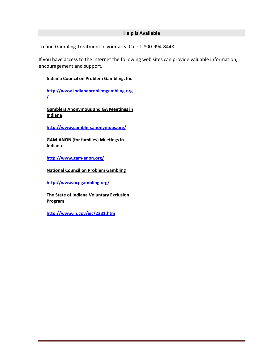# **Help is Available**

To find Gambling Treatment in your area Call: 1-800-994-8448

If you have access to the internet the following web sites can provide valuable information, encouragement and support.

# **Indiana Council on Problem Gambling, Inc**

**[http://www.indianaproblemgambling.org](http://www.indianaproblemgambling.org/) [/](http://www.indianaproblemgambling.org/)**

**Gamblers Anonymous and GA Meetings in Indiana**

**<http://www.gamblersanonymous.org/>**

**GAM-ANON (for families) Meetings in Indiana**

**<http://www.gam-anon.org/>**

**National Council on Problem Gambling**

**<http://www.ncpgambling.org/>**

**The State of Indiana Voluntary Exclusion Program** 

**<http://www.in.gov/igc/2331.htm>**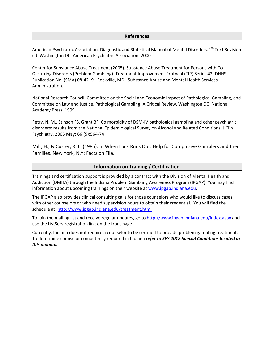#### **References**

American Psychiatric Association. Diagnostic and Statistical Manual of Mental Disorders.4<sup>th</sup> Text Revision ed. Washington DC: American Psychiatric Association. 2000

Center for Substance Abuse Treatment (2005). Substance Abuse Treatment for Persons with Co-Occurring Disorders (Problem Gambling). Treatment Improvement Protocol (TIP) Series 42. DHHS Publication No. (SMA) 08-4219. Rockville, MD: Substance Abuse and Mental Health Services Administration.

National Research Council, Committee on the Social and Economic Impact of Pathological Gambling, and Committee on Law and Justice. Pathological Gambling: A Critical Review. Washington DC: National Academy Press, 1999.

Petry, N. M., Stinson FS, Grant BF. Co morbidity of DSM-IV pathological gambling and other psychiatric disorders: results from the National Epidemiological Survey on Alcohol and Related Conditions. J Clin Psychiatry. 2005 May; 66 (5):564-74

Milt, H., & Custer, R. L. (1985). In When Luck Runs Out: Help for Compulsive Gamblers and their Families. New York, N.Y: Facts on File.

## **Information on Training / Certification**

Trainings and certification support is provided by a contract with the Division of Mental Health and Addiction (DMHA) through the Indiana Problem Gambling Awareness Program (IPGAP). You may find information about upcoming trainings on their website at [www.ipgap.indiana.edu.](http://www.ipgap.indiana.edu/)

The IPGAP also provides clinical consulting calls for those counselors who would like to discuss cases with other counselors or who need supervision hours to obtain their credential. You will find the schedule at: <http://www.ipgap.indiana.edu/treatment.html>

To join the mailing list and receive regular updates, go to<http://www.ipgap.indiana.edu/index.aspx> and use the ListServ registration link on the front page.

Currently, Indiana does not require a counselor to be certified to provide problem gambling treatment. To determine counselor competency required in Indiana *refer to SFY 2012 Special Conditions located in this manual.*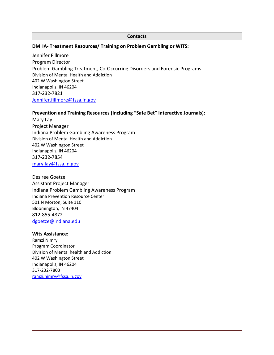#### **Contacts**

## **DMHA- Treatment Resources/ Training on Problem Gambling or WITS:**

Jennifer Fillmore Program Director Problem Gambling Treatment, Co-Occurring Disorders and Forensic Programs Division of Mental Health and Addiction 402 W Washington Street Indianapolis, IN 46204 317-232-7821 [Jennifer.fillmore@fssa.in.gov](mailto:Jennifer.fillmore@fssa.in.gov)

## **Prevention and Training Resources (Including "Safe Bet" Interactive Journals):**

Mary Lay Project Manager Indiana Problem Gambling Awareness Program Division of Mental Health and Addiction 402 W Washington Street Indianapolis, IN 46204 317-232-7854 [mary.lay@fssa.in.gov](mailto:mary.lay@fssa.in.gov)

Desiree Goetze Assistant Project Manager Indiana Problem Gambling Awareness Program Indiana Prevention Resource Center 501 N Morton, Suite 110 Bloomington, IN 47404 812-855-4872 [dgoetze@indiana.edu](mailto:mary.lay@fssa.in.gov)

## **Wits Assistance:**

Ramzi Nimry Program Coordinator Division of Mental health and Addiction 402 W Washington Street Indianapolis, IN 46204 317-232-7803 [ramzi.nimry@fssa.in.gov](mailto:ramzi.nimry@fssa.in.gov)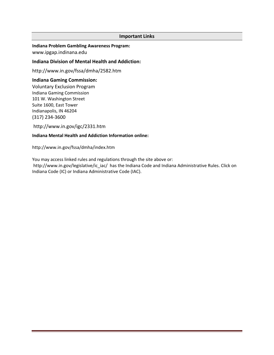## **Important Links**

**Indiana Problem Gambling Awareness Program:** [www.ipgap.indinana.edu](http://www.ipgap.indinana.edu/)

## **Indiana Division of Mental Health and Addiction:**

<http://www.in.gov/fssa/dmha/2582.htm>

## **Indiana Gaming Commission:**

Voluntary Exclusion Program Indiana Gaming Commission 101 W. Washington Street Suite 1600, East Tower Indianapolis, IN 46204 (317) 234-3600

<http://www.in.gov/igc/2331.htm>

## **Indiana Mental Health and Addiction Information online:**

<http://www.in.gov/fssa/dmha/index.htm>

You may access linked rules and regulations through the site above or: [http://www.in.gov/legislative/ic\\_iac/](http://www.in.gov/legislative/ic_iac/) has the Indiana Code and Indiana Administrative Rules. Click on Indiana Code (IC) or Indiana Administrative Code (IAC).